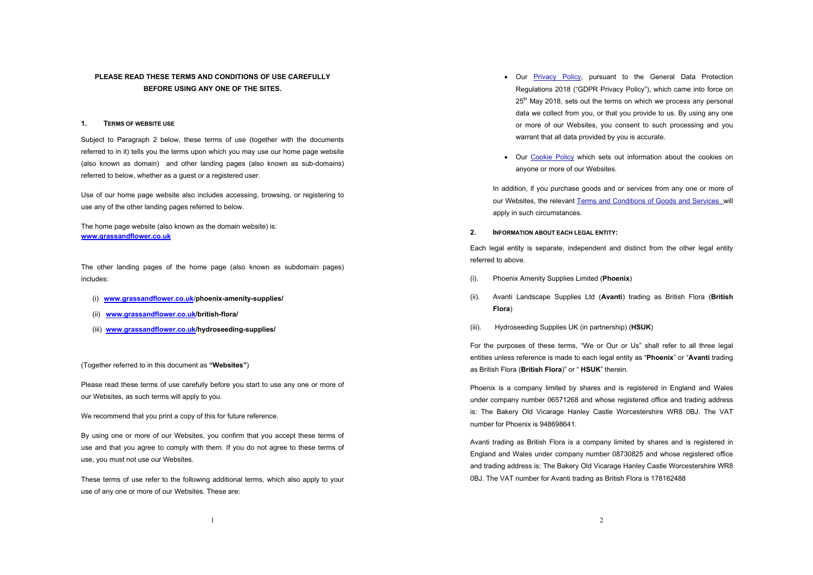# **PLEASE READ THESE TERMS AND CONDITIONS OF USE CAREFULLY BEFORE USING ANY ONE OF THE SITES.**

# **1. TERMS OF WEBSITE USE**

Subject to Paragraph 2 below, these terms of use (together with the documents referred to in it) tells you the terms upon which you may use our home page website (also known as domain) and other landing pages (also known as sub-domains) referred to below, whether as a guest or a registered user.

Use of our home page website also includes accessing, browsing, or registering to use any of the other landing pages referred to below.

The home page website (also known as the domain website) is: **www.grassandflower.co.uk**

The other landing pages of the home page (also known as subdomain pages) includes:

- (i) **www.grassandflower.co.uk**/**phoenix-amenity-supplies/**
- (ii) **www.grassandflower.co.uk/british-flora/**
- (iii) **www.grassandflower.co.uk/hydroseeding-supplies/**

(Together referred to in this document as **"Websites"**)

Please read these terms of use carefully before you start to use any one or more of our Websites, as such terms will apply to you.

We recommend that you print a copy of this for future reference.

By using one or more of our Websites, you confirm that you accept these terms of use and that you agree to comply with them. If you do not agree to these terms of use, you must not use our Websites.

These terms of use refer to the following additional terms, which also apply to your use of any one or more of our Websites. These are:

- Our **Privacy Policy**, pursuant to the General Data Protection Regulations 2018 ("GDPR Privacy Policy"), which came into force on 25<sup>th</sup> May 2018, sets out the terms on which we process any personal data we collect from you, or that you provide to us. By using any one or more of our Websites, you consent to such processing and you warrant that all data provided by you is accurate.
- Our Cookie Policy which sets out information about the cookies on anyone or more of our Websites.

In addition, if you purchase goods and or services from any one or more of our Websites, the relevant Terms and Conditions of Goods and Services will apply in such circumstances.

**2. INFORMATION ABOUT EACH LEGAL ENTITY:**

Each legal entity is separate, independent and distinct from the other legal entity referred to above.

- (i). Phoenix Amenity Supplies Limited (**Phoenix**)
- (ii). Avanti Landscape Supplies Ltd (**Avanti**) trading as British Flora (**British Flora**)
- (iii). Hydroseeding Supplies UK (in partnership) (**HSUK**)

For the purposes of these terms, "We or Our or Us" shall refer to all three legal entities unless reference is made to each legal entity as "**Phoenix**" or "**Avanti** trading as British Flora (**British Flora**)" or " **HSUK**" therein.

Phoenix is a company limited by shares and is registered in England and Wales under company number 06571268 and whose registered office and trading address is: The Bakery Old Vicarage Hanley Castle Worcestershire WR8 0BJ. The VAT number for Phoenix is 948698641.

Avanti trading as British Flora is a company limited by shares and is registered in England and Wales under company number 08730825 and whose registered office and trading address is: The Bakery Old Vicarage Hanley Castle Worcestershire WR8 0BJ. The VAT number for Avanti trading as British Flora is 178162488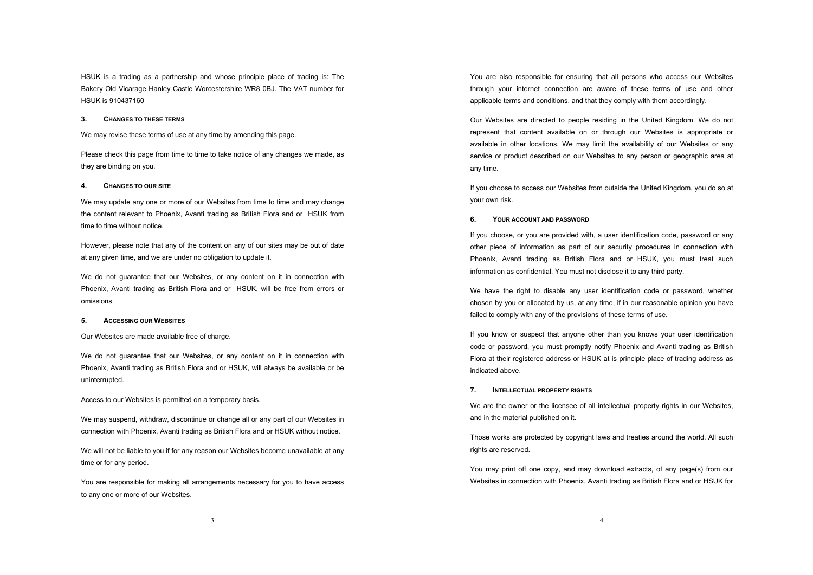HSUK is a trading as a partnership and whose principle place of trading is: The Bakery Old Vicarage Hanley Castle Worcestershire WR8 0BJ. The VAT number for HSUK is 910437160

#### **3. CHANGES TO THESE TERMS**

We may revise these terms of use at any time by amending this page.

Please check this page from time to time to take notice of any changes we made, as they are binding on you.

#### **4. CHANGES TO OUR SITE**

We may update any one or more of our Websites from time to time and may change the content relevant to Phoenix, Avanti trading as British Flora and or HSUK from time to time without notice.

However, please note that any of the content on any of our sites may be out of date at any given time, and we are under no obligation to update it.

We do not guarantee that our Websites, or any content on it in connection with Phoenix, Avanti trading as British Flora and or HSUK, will be free from errors or omissions.

#### **5. ACCESSING OUR WEBSITES**

Our Websites are made available free of charge.

We do not guarantee that our Websites, or any content on it in connection with Phoenix, Avanti trading as British Flora and or HSUK, will always be available or be uninterrupted.

Access to our Websites is permitted on a temporary basis.

We may suspend, withdraw, discontinue or change all or any part of our Websites in connection with Phoenix, Avanti trading as British Flora and or HSUK without notice.

We will not be liable to you if for any reason our Websites become unavailable at any time or for any period.

You are responsible for making all arrangements necessary for you to have access to any one or more of our Websites.

You are also responsible for ensuring that all persons who access our Websites through your internet connection are aware of these terms of use and other applicable terms and conditions, and that they comply with them accordingly.

Our Websites are directed to people residing in the United Kingdom. We do not represent that content available on or through our Websites is appropriate or available in other locations. We may limit the availability of our Websites or any service or product described on our Websites to any person or geographic area at any time.

If you choose to access our Websites from outside the United Kingdom, you do so at your own risk.

#### **6. YOUR ACCOUNT AND PASSWORD**

If you choose, or you are provided with, a user identification code, password or any other piece of information as part of our security procedures in connection with Phoenix, Avanti trading as British Flora and or HSUK, you must treat such information as confidential. You must not disclose it to any third party.

We have the right to disable any user identification code or password, whether chosen by you or allocated by us, at any time, if in our reasonable opinion you have failed to comply with any of the provisions of these terms of use.

If you know or suspect that anyone other than you knows your user identification code or password, you must promptly notify Phoenix and Avanti trading as British Flora at their registered address or HSUK at is principle place of trading address as indicated above.

# **7. INTELLECTUAL PROPERTY RIGHTS**

We are the owner or the licensee of all intellectual property rights in our Websites, and in the material published on it.

Those works are protected by copyright laws and treaties around the world. All such rights are reserved.

You may print off one copy, and may download extracts, of any page(s) from our Websites in connection with Phoenix, Avanti trading as British Flora and or HSUK for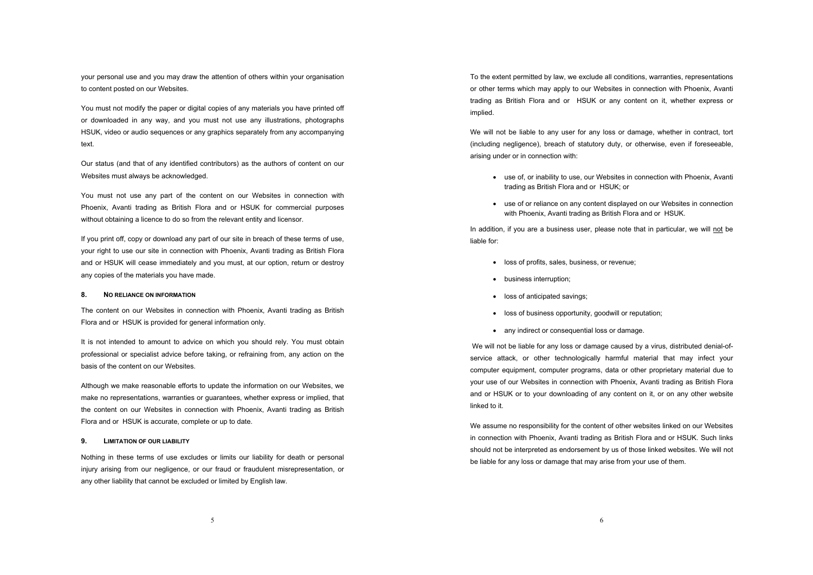your personal use and you may draw the attention of others within your organisation to content posted on our Websites.

You must not modify the paper or digital copies of any materials you have printed off or downloaded in any way, and you must not use any illustrations, photographs HSUK, video or audio sequences or any graphics separately from any accompanying text.

Our status (and that of any identified contributors) as the authors of content on our Websites must always be acknowledged.

You must not use any part of the content on our Websites in connection with Phoenix, Avanti trading as British Flora and or HSUK for commercial purposes without obtaining a licence to do so from the relevant entity and licensor.

If you print off, copy or download any part of our site in breach of these terms of use, your right to use our site in connection with Phoenix, Avanti trading as British Flora and or HSUK will cease immediately and you must, at our option, return or destroy any copies of the materials you have made.

#### **8. NO RELIANCE ON INFORMATION**

The content on our Websites in connection with Phoenix, Avanti trading as British Flora and or HSUK is provided for general information only.

It is not intended to amount to advice on which you should rely. You must obtain professional or specialist advice before taking, or refraining from, any action on the basis of the content on our Websites.

Although we make reasonable efforts to update the information on our Websites, we make no representations, warranties or guarantees, whether express or implied, that the content on our Websites in connection with Phoenix, Avanti trading as British Flora and or HSUK is accurate, complete or up to date.

#### **9. LIMITATION OF OUR LIABILITY**

Nothing in these terms of use excludes or limits our liability for death or personal injury arising from our negligence, or our fraud or fraudulent misrepresentation, or any other liability that cannot be excluded or limited by English law.

To the extent permitted by law, we exclude all conditions, warranties, representations or other terms which may apply to our Websites in connection with Phoenix, Avanti trading as British Flora and or HSUK or any content on it, whether express or implied.

We will not be liable to any user for any loss or damage, whether in contract, tort (including negligence), breach of statutory duty, or otherwise, even if foreseeable, arising under or in connection with:

- use of, or inability to use, our Websites in connection with Phoenix, Avanti trading as British Flora and or HSUK; or
- use of or reliance on any content displayed on our Websites in connection with Phoenix, Avanti trading as British Flora and or HSUK.

In addition, if you are a business user, please note that in particular, we will not be liable for:

- loss of profits, sales, business, or revenue;
- business interruption;
- loss of anticipated savings;
- loss of business opportunity, goodwill or reputation;
- any indirect or consequential loss or damage.

We will not be liable for any loss or damage caused by a virus, distributed denial-ofservice attack, or other technologically harmful material that may infect your computer equipment, computer programs, data or other proprietary material due to your use of our Websites in connection with Phoenix, Avanti trading as British Flora and or HSUK or to your downloading of any content on it, or on any other website linked to it.

We assume no responsibility for the content of other websites linked on our Websites in connection with Phoenix, Avanti trading as British Flora and or HSUK. Such links should not be interpreted as endorsement by us of those linked websites. We will not be liable for any loss or damage that may arise from your use of them.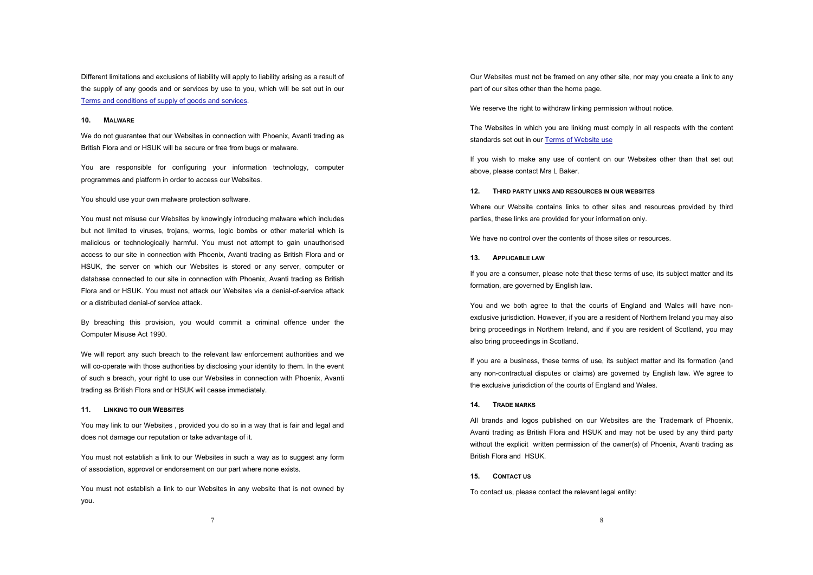Different limitations and exclusions of liability will apply to liability arising as a result of the supply of any goods and or services by use to you, which will be set out in our Terms and conditions of supply of goods and services.

# **10. MALWARE**

We do not guarantee that our Websites in connection with Phoenix, Avanti trading as British Flora and or HSUK will be secure or free from bugs or malware.

You are responsible for configuring your information technology, computer programmes and platform in order to access our Websites.

You should use your own malware protection software.

You must not misuse our Websites by knowingly introducing malware which includes but not limited to viruses, trojans, worms, logic bombs or other material which is malicious or technologically harmful. You must not attempt to gain unauthorised access to our site in connection with Phoenix, Avanti trading as British Flora and or HSUK, the server on which our Websites is stored or any server, computer or database connected to our site in connection with Phoenix, Avanti trading as British Flora and or HSUK. You must not attack our Websites via a denial-of-service attack or a distributed denial-of service attack.

By breaching this provision, you would commit a criminal offence under the Computer Misuse Act 1990.

We will report any such breach to the relevant law enforcement authorities and we will co-operate with those authorities by disclosing your identity to them. In the event of such a breach, your right to use our Websites in connection with Phoenix, Avanti trading as British Flora and or HSUK will cease immediately.

#### **11. LINKING TO OUR WEBSITES**

You may link to our Websites , provided you do so in a way that is fair and legal and does not damage our reputation or take advantage of it.

You must not establish a link to our Websites in such a way as to suggest any form of association, approval or endorsement on our part where none exists.

You must not establish a link to our Websites in any website that is not owned by you.

Our Websites must not be framed on any other site, nor may you create a link to any part of our sites other than the home page.

We reserve the right to withdraw linking permission without notice.

The Websites in which you are linking must comply in all respects with the content standards set out in our Terms of Website use

If you wish to make any use of content on our Websites other than that set out above, please contact Mrs L Baker.

#### **12. THIRD PARTY LINKS AND RESOURCES IN OUR WEBSITES**

Where our Website contains links to other sites and resources provided by third parties, these links are provided for your information only.

We have no control over the contents of those sites or resources.

# **13. APPLICABLE LAW**

If you are a consumer, please note that these terms of use, its subject matter and its formation, are governed by English law.

You and we both agree to that the courts of England and Wales will have nonexclusive jurisdiction. However, if you are a resident of Northern Ireland you may also bring proceedings in Northern Ireland, and if you are resident of Scotland, you may also bring proceedings in Scotland.

If you are a business, these terms of use, its subject matter and its formation (and any non-contractual disputes or claims) are governed by English law. We agree to the exclusive jurisdiction of the courts of England and Wales.

# **14. TRADE MARKS**

All brands and logos published on our Websites are the Trademark of Phoenix, Avanti trading as British Flora and HSUK and may not be used by any third party without the explicit written permission of the owner(s) of Phoenix, Avanti trading as British Flora and HSUK.

# **15. CONTACT US**

To contact us, please contact the relevant legal entity: